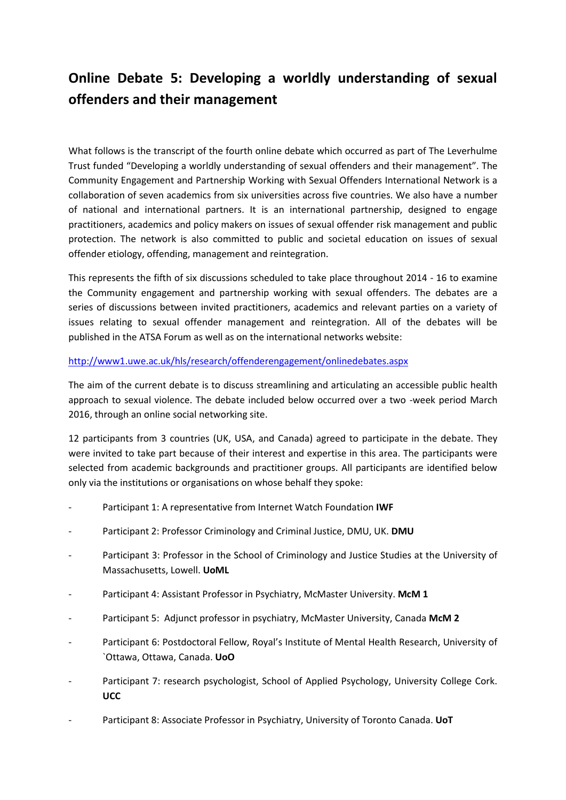## **Online Debate 5: Developing a worldly understanding of sexual offenders and their management**

What follows is the transcript of the fourth online debate which occurred as part of The Leverhulme Trust funded "Developing a worldly understanding of sexual offenders and their management". The Community Engagement and Partnership Working with Sexual Offenders International Network is a collaboration of seven academics from six universities across five countries. We also have a number of national and international partners. It is an international partnership, designed to engage practitioners, academics and policy makers on issues of sexual offender risk management and public protection. The network is also committed to public and societal education on issues of sexual offender etiology, offending, management and reintegration.

This represents the fifth of six discussions scheduled to take place throughout 2014 - 16 to examine the Community engagement and partnership working with sexual offenders. The debates are a series of discussions between invited practitioners, academics and relevant parties on a variety of issues relating to sexual offender management and reintegration. All of the debates will be published in the ATSA Forum as well as on the international networks website:

## <http://www1.uwe.ac.uk/hls/research/offenderengagement/onlinedebates.aspx>

The aim of the current debate is to discuss streamlining and articulating an accessible public health approach to sexual violence. The debate included below occurred over a two -week period March 2016, through an online social networking site.

12 participants from 3 countries (UK, USA, and Canada) agreed to participate in the debate. They were invited to take part because of their interest and expertise in this area. The participants were selected from academic backgrounds and practitioner groups. All participants are identified below only via the institutions or organisations on whose behalf they spoke:

- Participant 1: A representative from Internet Watch Foundation **IWF**
- Participant 2: Professor Criminology and Criminal Justice, DMU, UK. DMU
- Participant 3: Professor in the School of Criminology and Justice Studies at the University of Massachusetts, Lowell. **UoML**
- Participant 4: Assistant Professor in Psychiatry, McMaster University. McM 1
- Participant 5: Adjunct professor in psychiatry, McMaster University, Canada **McM 2**
- Participant 6: Postdoctoral Fellow, Royal's Institute of Mental Health Research, University of `Ottawa, Ottawa, Canada. **UoO**
- Participant 7: research psychologist, School of Applied Psychology, University College Cork. **UCC**
- Participant 8: Associate Professor in Psychiatry, University of Toronto Canada. **UoT**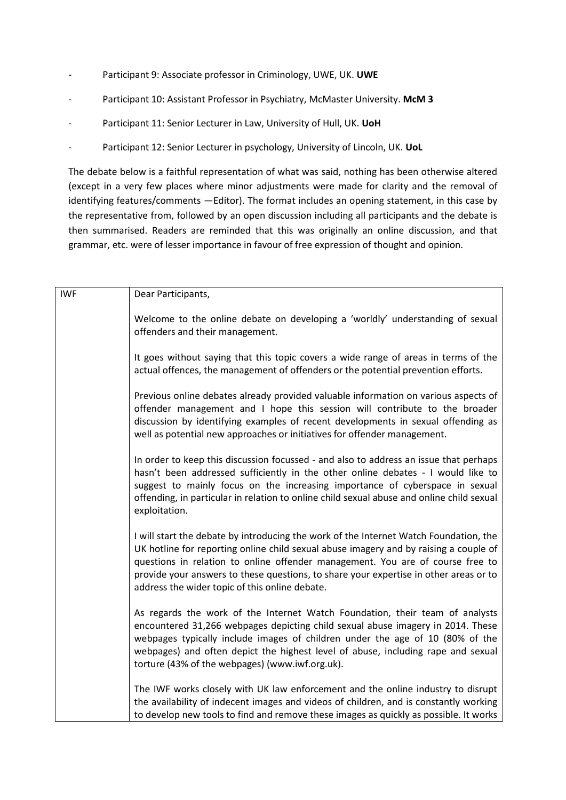- Participant 9: Associate professor in Criminology, UWE, UK. **UWE**
- Participant 10: Assistant Professor in Psychiatry, McMaster University. McM 3
- Participant 11: Senior Lecturer in Law, University of Hull, UK. **UoH**
- Participant 12: Senior Lecturer in psychology, University of Lincoln, UK. UoL

The debate below is a faithful representation of what was said, nothing has been otherwise altered (except in a very few places where minor adjustments were made for clarity and the removal of identifying features/comments —Editor). The format includes an opening statement, in this case by the representative from, followed by an open discussion including all participants and the debate is then summarised. Readers are reminded that this was originally an online discussion, and that grammar, etc. were of lesser importance in favour of free expression of thought and opinion.

| <b>IWF</b> | Dear Participants,                                                                                                                                                                                                                                                                                                                                                                                          |
|------------|-------------------------------------------------------------------------------------------------------------------------------------------------------------------------------------------------------------------------------------------------------------------------------------------------------------------------------------------------------------------------------------------------------------|
|            | Welcome to the online debate on developing a 'worldly' understanding of sexual<br>offenders and their management.                                                                                                                                                                                                                                                                                           |
|            | It goes without saying that this topic covers a wide range of areas in terms of the<br>actual offences, the management of offenders or the potential prevention efforts.                                                                                                                                                                                                                                    |
|            | Previous online debates already provided valuable information on various aspects of<br>offender management and I hope this session will contribute to the broader<br>discussion by identifying examples of recent developments in sexual offending as<br>well as potential new approaches or initiatives for offender management.                                                                           |
|            | In order to keep this discussion focussed - and also to address an issue that perhaps<br>hasn't been addressed sufficiently in the other online debates - I would like to<br>suggest to mainly focus on the increasing importance of cyberspace in sexual<br>offending, in particular in relation to online child sexual abuse and online child sexual<br>exploitation.                                     |
|            | I will start the debate by introducing the work of the Internet Watch Foundation, the<br>UK hotline for reporting online child sexual abuse imagery and by raising a couple of<br>questions in relation to online offender management. You are of course free to<br>provide your answers to these questions, to share your expertise in other areas or to<br>address the wider topic of this online debate. |
|            | As regards the work of the Internet Watch Foundation, their team of analysts<br>encountered 31,266 webpages depicting child sexual abuse imagery in 2014. These<br>webpages typically include images of children under the age of 10 (80% of the<br>webpages) and often depict the highest level of abuse, including rape and sexual<br>torture (43% of the webpages) (www.iwf.org.uk).                     |
|            | The IWF works closely with UK law enforcement and the online industry to disrupt<br>the availability of indecent images and videos of children, and is constantly working<br>to develop new tools to find and remove these images as quickly as possible. It works                                                                                                                                          |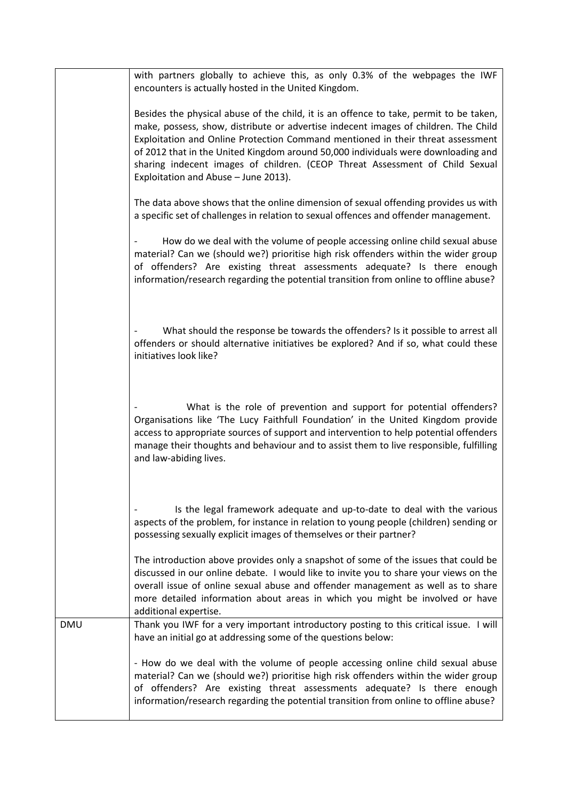|            | with partners globally to achieve this, as only 0.3% of the webpages the IWF<br>encounters is actually hosted in the United Kingdom.                                                                                                                                                                                                                                                                                                                                          |
|------------|-------------------------------------------------------------------------------------------------------------------------------------------------------------------------------------------------------------------------------------------------------------------------------------------------------------------------------------------------------------------------------------------------------------------------------------------------------------------------------|
|            | Besides the physical abuse of the child, it is an offence to take, permit to be taken,<br>make, possess, show, distribute or advertise indecent images of children. The Child<br>Exploitation and Online Protection Command mentioned in their threat assessment<br>of 2012 that in the United Kingdom around 50,000 individuals were downloading and<br>sharing indecent images of children. (CEOP Threat Assessment of Child Sexual<br>Exploitation and Abuse - June 2013). |
|            | The data above shows that the online dimension of sexual offending provides us with<br>a specific set of challenges in relation to sexual offences and offender management.                                                                                                                                                                                                                                                                                                   |
|            | How do we deal with the volume of people accessing online child sexual abuse<br>material? Can we (should we?) prioritise high risk offenders within the wider group<br>of offenders? Are existing threat assessments adequate? Is there enough<br>information/research regarding the potential transition from online to offline abuse?                                                                                                                                       |
|            | What should the response be towards the offenders? Is it possible to arrest all<br>offenders or should alternative initiatives be explored? And if so, what could these<br>initiatives look like?                                                                                                                                                                                                                                                                             |
|            | What is the role of prevention and support for potential offenders?<br>Organisations like 'The Lucy Faithfull Foundation' in the United Kingdom provide<br>access to appropriate sources of support and intervention to help potential offenders<br>manage their thoughts and behaviour and to assist them to live responsible, fulfilling<br>and law-abiding lives.                                                                                                          |
|            | Is the legal framework adequate and up-to-date to deal with the various<br>aspects of the problem, for instance in relation to young people (children) sending or<br>possessing sexually explicit images of themselves or their partner?                                                                                                                                                                                                                                      |
|            | The introduction above provides only a snapshot of some of the issues that could be<br>discussed in our online debate. I would like to invite you to share your views on the<br>overall issue of online sexual abuse and offender management as well as to share<br>more detailed information about areas in which you might be involved or have<br>additional expertise.                                                                                                     |
| <b>DMU</b> | Thank you IWF for a very important introductory posting to this critical issue. I will<br>have an initial go at addressing some of the questions below:                                                                                                                                                                                                                                                                                                                       |
|            | - How do we deal with the volume of people accessing online child sexual abuse<br>material? Can we (should we?) prioritise high risk offenders within the wider group<br>of offenders? Are existing threat assessments adequate? Is there enough<br>information/research regarding the potential transition from online to offline abuse?                                                                                                                                     |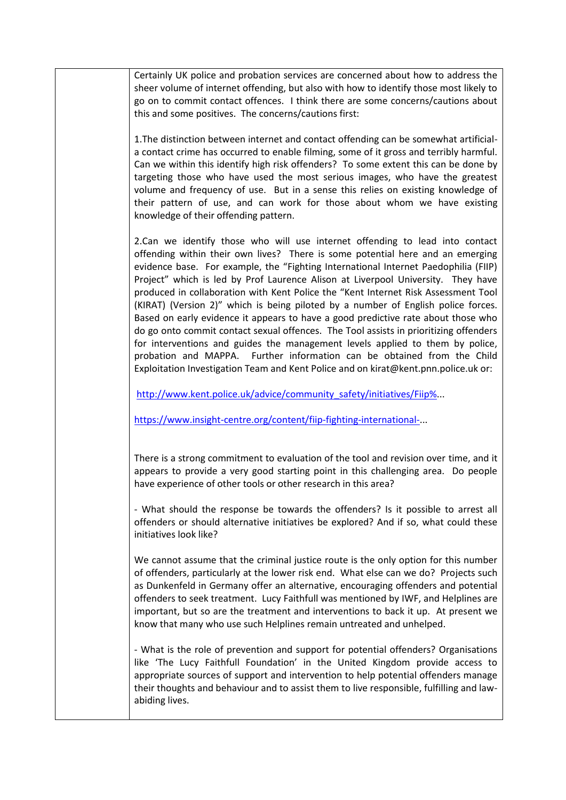Certainly UK police and probation services are concerned about how to address the sheer volume of internet offending, but also with how to identify those most likely to go on to commit contact offences. I think there are some concerns/cautions about this and some positives. The concerns/cautions first:

1.The distinction between internet and contact offending can be somewhat artificiala contact crime has occurred to enable filming, some of it gross and terribly harmful. Can we within this identify high risk offenders? To some extent this can be done by targeting those who have used the most serious images, who have the greatest volume and frequency of use. But in a sense this relies on existing knowledge of their pattern of use, and can work for those about whom we have existing knowledge of their offending pattern.

2.Can we identify those who will use internet offending to lead into contact offending within their own lives? There is some potential here and an emerging evidence base. For example, the "Fighting International Internet Paedophilia (FIIP) Project" which is led by Prof Laurence Alison at Liverpool University. They have produced in collaboration with Kent Police the "Kent Internet Risk Assessment Tool (KIRAT) (Version 2)" which is being piloted by a number of English police forces. Based on early evidence it appears to have a good predictive rate about those who do go onto commit contact sexual offences. The Tool assists in prioritizing offenders for interventions and guides the management levels applied to them by police, probation and MAPPA. Further information can be obtained from the Child Exploitation Investigation Team and Kent Police and on kirat@kent.pnn.police.uk or:

[http://www.kent.police.uk/advice/community\\_safety/initiatives/Fiip%.](http://www.kent.police.uk/advice/community_safety/initiatives/Fiip%25)..

[https://www.insight-centre.org/content/fiip-fighting-international-.](https://www.insight-centre.org/content/fiip-fighting-international-)..

There is a strong commitment to evaluation of the tool and revision over time, and it appears to provide a very good starting point in this challenging area. Do people have experience of other tools or other research in this area?

- What should the response be towards the offenders? Is it possible to arrest all offenders or should alternative initiatives be explored? And if so, what could these initiatives look like?

We cannot assume that the criminal justice route is the only option for this number of offenders, particularly at the lower risk end. What else can we do? Projects such as Dunkenfeld in Germany offer an alternative, encouraging offenders and potential offenders to seek treatment. Lucy Faithfull was mentioned by IWF, and Helplines are important, but so are the treatment and interventions to back it up. At present we know that many who use such Helplines remain untreated and unhelped.

- What is the role of prevention and support for potential offenders? Organisations like 'The Lucy Faithfull Foundation' in the United Kingdom provide access to appropriate sources of support and intervention to help potential offenders manage their thoughts and behaviour and to assist them to live responsible, fulfilling and lawabiding lives.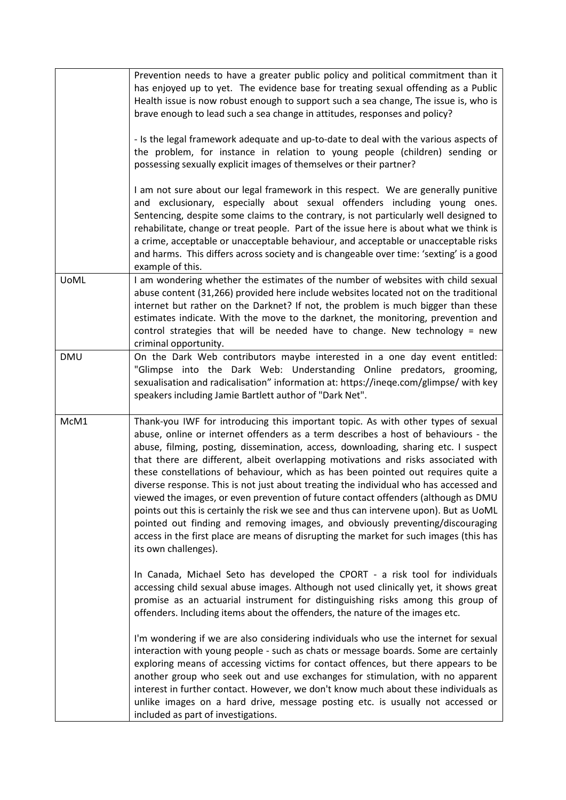|             | Prevention needs to have a greater public policy and political commitment than it<br>has enjoyed up to yet. The evidence base for treating sexual offending as a Public<br>Health issue is now robust enough to support such a sea change, The issue is, who is<br>brave enough to lead such a sea change in attitudes, responses and policy?<br>- Is the legal framework adequate and up-to-date to deal with the various aspects of<br>the problem, for instance in relation to young people (children) sending or<br>possessing sexually explicit images of themselves or their partner?<br>I am not sure about our legal framework in this respect. We are generally punitive<br>and exclusionary, especially about sexual offenders including young ones.<br>Sentencing, despite some claims to the contrary, is not particularly well designed to<br>rehabilitate, change or treat people. Part of the issue here is about what we think is<br>a crime, acceptable or unacceptable behaviour, and acceptable or unacceptable risks<br>and harms. This differs across society and is changeable over time: 'sexting' is a good |
|-------------|-------------------------------------------------------------------------------------------------------------------------------------------------------------------------------------------------------------------------------------------------------------------------------------------------------------------------------------------------------------------------------------------------------------------------------------------------------------------------------------------------------------------------------------------------------------------------------------------------------------------------------------------------------------------------------------------------------------------------------------------------------------------------------------------------------------------------------------------------------------------------------------------------------------------------------------------------------------------------------------------------------------------------------------------------------------------------------------------------------------------------------------|
| <b>UoML</b> | example of this.<br>I am wondering whether the estimates of the number of websites with child sexual<br>abuse content (31,266) provided here include websites located not on the traditional<br>internet but rather on the Darknet? If not, the problem is much bigger than these<br>estimates indicate. With the move to the darknet, the monitoring, prevention and<br>control strategies that will be needed have to change. New technology = new<br>criminal opportunity.                                                                                                                                                                                                                                                                                                                                                                                                                                                                                                                                                                                                                                                       |
| <b>DMU</b>  | On the Dark Web contributors maybe interested in a one day event entitled:<br>"Glimpse into the Dark Web: Understanding Online predators, grooming,<br>sexualisation and radicalisation" information at: https://ineqe.com/glimpse/ with key<br>speakers including Jamie Bartlett author of "Dark Net".                                                                                                                                                                                                                                                                                                                                                                                                                                                                                                                                                                                                                                                                                                                                                                                                                             |
| McM1        | Thank-you IWF for introducing this important topic. As with other types of sexual<br>abuse, online or internet offenders as a term describes a host of behaviours - the<br>abuse, filming, posting, dissemination, access, downloading, sharing etc. I suspect<br>that there are different, albeit overlapping motivations and risks associated with<br>these constellations of behaviour, which as has been pointed out requires quite a<br>diverse response. This is not just about treating the individual who has accessed and<br>viewed the images, or even prevention of future contact offenders (although as DMU<br>points out this is certainly the risk we see and thus can intervene upon). But as UoML<br>pointed out finding and removing images, and obviously preventing/discouraging<br>access in the first place are means of disrupting the market for such images (this has<br>its own challenges).                                                                                                                                                                                                              |
|             | In Canada, Michael Seto has developed the CPORT - a risk tool for individuals<br>accessing child sexual abuse images. Although not used clinically yet, it shows great<br>promise as an actuarial instrument for distinguishing risks among this group of<br>offenders. Including items about the offenders, the nature of the images etc.                                                                                                                                                                                                                                                                                                                                                                                                                                                                                                                                                                                                                                                                                                                                                                                          |
|             | I'm wondering if we are also considering individuals who use the internet for sexual<br>interaction with young people - such as chats or message boards. Some are certainly<br>exploring means of accessing victims for contact offences, but there appears to be<br>another group who seek out and use exchanges for stimulation, with no apparent<br>interest in further contact. However, we don't know much about these individuals as<br>unlike images on a hard drive, message posting etc. is usually not accessed or<br>included as part of investigations.                                                                                                                                                                                                                                                                                                                                                                                                                                                                                                                                                                 |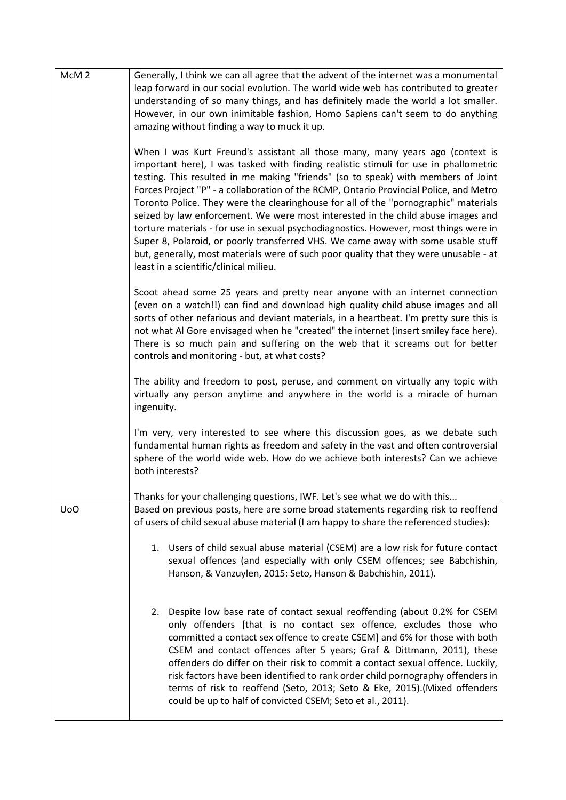| McM <sub>2</sub> | Generally, I think we can all agree that the advent of the internet was a monumental<br>leap forward in our social evolution. The world wide web has contributed to greater<br>understanding of so many things, and has definitely made the world a lot smaller.<br>However, in our own inimitable fashion, Homo Sapiens can't seem to do anything<br>amazing without finding a way to muck it up.                                                                                                                                                                                                                                                                                                                                                                                                                                               |
|------------------|--------------------------------------------------------------------------------------------------------------------------------------------------------------------------------------------------------------------------------------------------------------------------------------------------------------------------------------------------------------------------------------------------------------------------------------------------------------------------------------------------------------------------------------------------------------------------------------------------------------------------------------------------------------------------------------------------------------------------------------------------------------------------------------------------------------------------------------------------|
|                  | When I was Kurt Freund's assistant all those many, many years ago (context is<br>important here), I was tasked with finding realistic stimuli for use in phallometric<br>testing. This resulted in me making "friends" (so to speak) with members of Joint<br>Forces Project "P" - a collaboration of the RCMP, Ontario Provincial Police, and Metro<br>Toronto Police. They were the clearinghouse for all of the "pornographic" materials<br>seized by law enforcement. We were most interested in the child abuse images and<br>torture materials - for use in sexual psychodiagnostics. However, most things were in<br>Super 8, Polaroid, or poorly transferred VHS. We came away with some usable stuff<br>but, generally, most materials were of such poor quality that they were unusable - at<br>least in a scientific/clinical milieu. |
|                  | Scoot ahead some 25 years and pretty near anyone with an internet connection<br>(even on a watch!!) can find and download high quality child abuse images and all<br>sorts of other nefarious and deviant materials, in a heartbeat. I'm pretty sure this is<br>not what AI Gore envisaged when he "created" the internet (insert smiley face here).<br>There is so much pain and suffering on the web that it screams out for better<br>controls and monitoring - but, at what costs?                                                                                                                                                                                                                                                                                                                                                           |
|                  | The ability and freedom to post, peruse, and comment on virtually any topic with<br>virtually any person anytime and anywhere in the world is a miracle of human<br>ingenuity.                                                                                                                                                                                                                                                                                                                                                                                                                                                                                                                                                                                                                                                                   |
|                  | I'm very, very interested to see where this discussion goes, as we debate such<br>fundamental human rights as freedom and safety in the vast and often controversial<br>sphere of the world wide web. How do we achieve both interests? Can we achieve<br>both interests?                                                                                                                                                                                                                                                                                                                                                                                                                                                                                                                                                                        |
|                  | Thanks for your challenging questions, IWF. Let's see what we do with this                                                                                                                                                                                                                                                                                                                                                                                                                                                                                                                                                                                                                                                                                                                                                                       |
| U <sub>0</sub> O | Based on previous posts, here are some broad statements regarding risk to reoffend<br>of users of child sexual abuse material (I am happy to share the referenced studies):                                                                                                                                                                                                                                                                                                                                                                                                                                                                                                                                                                                                                                                                      |
|                  | 1. Users of child sexual abuse material (CSEM) are a low risk for future contact<br>sexual offences (and especially with only CSEM offences; see Babchishin,<br>Hanson, & Vanzuylen, 2015: Seto, Hanson & Babchishin, 2011).                                                                                                                                                                                                                                                                                                                                                                                                                                                                                                                                                                                                                     |
|                  | 2. Despite low base rate of contact sexual reoffending (about 0.2% for CSEM<br>only offenders [that is no contact sex offence, excludes those who<br>committed a contact sex offence to create CSEM] and 6% for those with both<br>CSEM and contact offences after 5 years; Graf & Dittmann, 2011), these<br>offenders do differ on their risk to commit a contact sexual offence. Luckily,<br>risk factors have been identified to rank order child pornography offenders in<br>terms of risk to reoffend (Seto, 2013; Seto & Eke, 2015). (Mixed offenders<br>could be up to half of convicted CSEM; Seto et al., 2011).                                                                                                                                                                                                                        |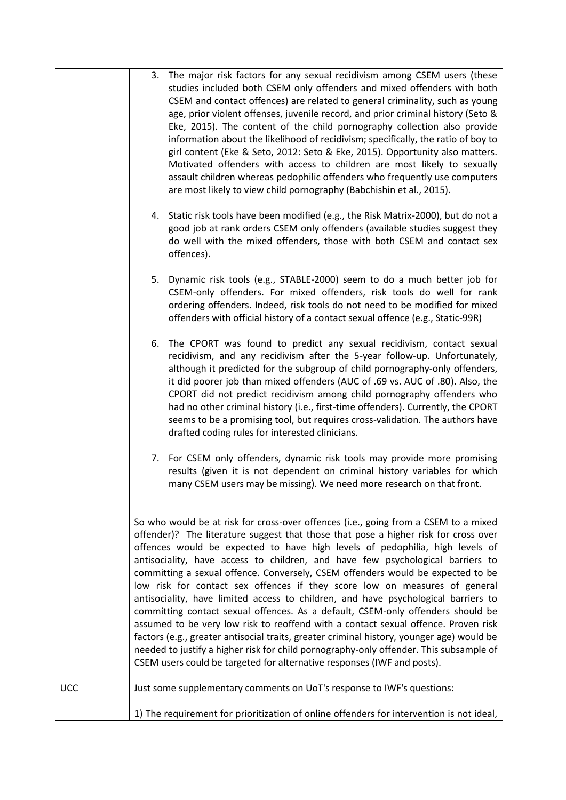|            | The major risk factors for any sexual recidivism among CSEM users (these<br>3.<br>studies included both CSEM only offenders and mixed offenders with both<br>CSEM and contact offences) are related to general criminality, such as young<br>age, prior violent offenses, juvenile record, and prior criminal history (Seto &<br>Eke, 2015). The content of the child pornography collection also provide<br>information about the likelihood of recidivism; specifically, the ratio of boy to<br>girl content (Eke & Seto, 2012: Seto & Eke, 2015). Opportunity also matters.<br>Motivated offenders with access to children are most likely to sexually<br>assault children whereas pedophilic offenders who frequently use computers<br>are most likely to view child pornography (Babchishin et al., 2015).                                                                                                                                                                                                                                |
|------------|------------------------------------------------------------------------------------------------------------------------------------------------------------------------------------------------------------------------------------------------------------------------------------------------------------------------------------------------------------------------------------------------------------------------------------------------------------------------------------------------------------------------------------------------------------------------------------------------------------------------------------------------------------------------------------------------------------------------------------------------------------------------------------------------------------------------------------------------------------------------------------------------------------------------------------------------------------------------------------------------------------------------------------------------|
|            | 4. Static risk tools have been modified (e.g., the Risk Matrix-2000), but do not a<br>good job at rank orders CSEM only offenders (available studies suggest they<br>do well with the mixed offenders, those with both CSEM and contact sex<br>offences).                                                                                                                                                                                                                                                                                                                                                                                                                                                                                                                                                                                                                                                                                                                                                                                      |
|            | 5. Dynamic risk tools (e.g., STABLE-2000) seem to do a much better job for<br>CSEM-only offenders. For mixed offenders, risk tools do well for rank<br>ordering offenders. Indeed, risk tools do not need to be modified for mixed<br>offenders with official history of a contact sexual offence (e.g., Static-99R)                                                                                                                                                                                                                                                                                                                                                                                                                                                                                                                                                                                                                                                                                                                           |
|            | The CPORT was found to predict any sexual recidivism, contact sexual<br>6.<br>recidivism, and any recidivism after the 5-year follow-up. Unfortunately,<br>although it predicted for the subgroup of child pornography-only offenders,<br>it did poorer job than mixed offenders (AUC of .69 vs. AUC of .80). Also, the<br>CPORT did not predict recidivism among child pornography offenders who<br>had no other criminal history (i.e., first-time offenders). Currently, the CPORT<br>seems to be a promising tool, but requires cross-validation. The authors have<br>drafted coding rules for interested clinicians.                                                                                                                                                                                                                                                                                                                                                                                                                      |
|            | For CSEM only offenders, dynamic risk tools may provide more promising<br>7.<br>results (given it is not dependent on criminal history variables for which<br>many CSEM users may be missing). We need more research on that front.                                                                                                                                                                                                                                                                                                                                                                                                                                                                                                                                                                                                                                                                                                                                                                                                            |
|            | So who would be at risk for cross-over offences (i.e., going from a CSEM to a mixed<br>offender)? The literature suggest that those that pose a higher risk for cross over<br>offences would be expected to have high levels of pedophilia, high levels of<br>antisociality, have access to children, and have few psychological barriers to<br>committing a sexual offence. Conversely, CSEM offenders would be expected to be<br>low risk for contact sex offences if they score low on measures of general<br>antisociality, have limited access to children, and have psychological barriers to<br>committing contact sexual offences. As a default, CSEM-only offenders should be<br>assumed to be very low risk to reoffend with a contact sexual offence. Proven risk<br>factors (e.g., greater antisocial traits, greater criminal history, younger age) would be<br>needed to justify a higher risk for child pornography-only offender. This subsample of<br>CSEM users could be targeted for alternative responses (IWF and posts). |
| <b>UCC</b> | Just some supplementary comments on UoT's response to IWF's questions:                                                                                                                                                                                                                                                                                                                                                                                                                                                                                                                                                                                                                                                                                                                                                                                                                                                                                                                                                                         |
|            | 1) The requirement for prioritization of online offenders for intervention is not ideal,                                                                                                                                                                                                                                                                                                                                                                                                                                                                                                                                                                                                                                                                                                                                                                                                                                                                                                                                                       |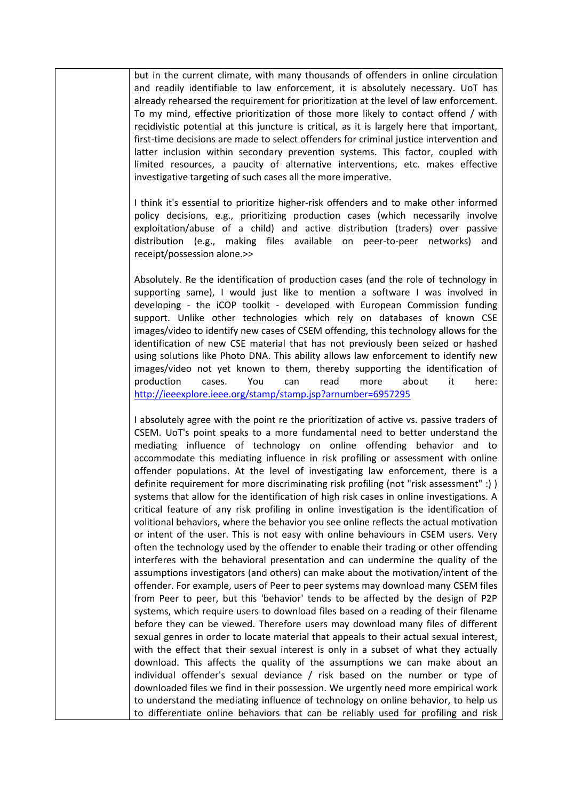but in the current climate, with many thousands of offenders in online circulation and readily identifiable to law enforcement, it is absolutely necessary. UoT has already rehearsed the requirement for prioritization at the level of law enforcement. To my mind, effective prioritization of those more likely to contact offend / with recidivistic potential at this juncture is critical, as it is largely here that important, first-time decisions are made to select offenders for criminal justice intervention and latter inclusion within secondary prevention systems. This factor, coupled with limited resources, a paucity of alternative interventions, etc. makes effective investigative targeting of such cases all the more imperative.

I think it's essential to prioritize higher-risk offenders and to make other informed policy decisions, e.g., prioritizing production cases (which necessarily involve exploitation/abuse of a child) and active distribution (traders) over passive distribution (e.g., making files available on peer-to-peer networks) and receipt/possession alone.>>

Absolutely. Re the identification of production cases (and the role of technology in supporting same), I would just like to mention a software I was involved in developing - the iCOP toolkit - developed with European Commission funding support. Unlike other technologies which rely on databases of known CSE images/video to identify new cases of CSEM offending, this technology allows for the identification of new CSE material that has not previously been seized or hashed using solutions like Photo DNA. This ability allows law enforcement to identify new images/video not yet known to them, thereby supporting the identification of production cases. You can read more about it here: <http://ieeexplore.ieee.org/stamp/stamp.jsp?arnumber=6957295>

I absolutely agree with the point re the prioritization of active vs. passive traders of CSEM. UoT's point speaks to a more fundamental need to better understand the mediating influence of technology on online offending behavior and to accommodate this mediating influence in risk profiling or assessment with online offender populations. At the level of investigating law enforcement, there is a definite requirement for more discriminating risk profiling (not "risk assessment" :) ) systems that allow for the identification of high risk cases in online investigations. A critical feature of any risk profiling in online investigation is the identification of volitional behaviors, where the behavior you see online reflects the actual motivation or intent of the user. This is not easy with online behaviours in CSEM users. Very often the technology used by the offender to enable their trading or other offending interferes with the behavioral presentation and can undermine the quality of the assumptions investigators (and others) can make about the motivation/intent of the offender. For example, users of Peer to peer systems may download many CSEM files from Peer to peer, but this 'behavior' tends to be affected by the design of P2P systems, which require users to download files based on a reading of their filename before they can be viewed. Therefore users may download many files of different sexual genres in order to locate material that appeals to their actual sexual interest, with the effect that their sexual interest is only in a subset of what they actually download. This affects the quality of the assumptions we can make about an individual offender's sexual deviance / risk based on the number or type of downloaded files we find in their possession. We urgently need more empirical work to understand the mediating influence of technology on online behavior, to help us to differentiate online behaviors that can be reliably used for profiling and risk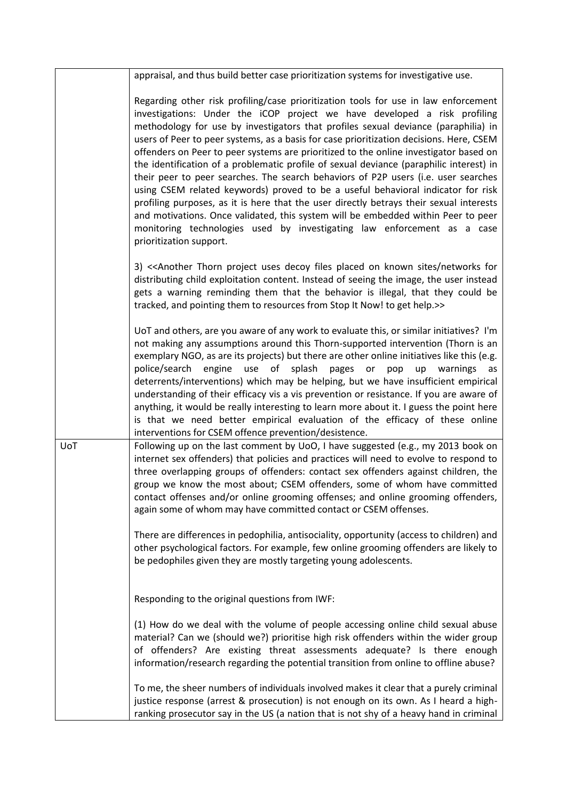|     | appraisal, and thus build better case prioritization systems for investigative use.                                                                                                                                                                                                                                                                                                                                                                                                                                                                                                                                                                                                                                                                                                                                                                                                                                                                                                                   |
|-----|-------------------------------------------------------------------------------------------------------------------------------------------------------------------------------------------------------------------------------------------------------------------------------------------------------------------------------------------------------------------------------------------------------------------------------------------------------------------------------------------------------------------------------------------------------------------------------------------------------------------------------------------------------------------------------------------------------------------------------------------------------------------------------------------------------------------------------------------------------------------------------------------------------------------------------------------------------------------------------------------------------|
|     | Regarding other risk profiling/case prioritization tools for use in law enforcement<br>investigations: Under the iCOP project we have developed a risk profiling<br>methodology for use by investigators that profiles sexual deviance (paraphilia) in<br>users of Peer to peer systems, as a basis for case prioritization decisions. Here, CSEM<br>offenders on Peer to peer systems are prioritized to the online investigator based on<br>the identification of a problematic profile of sexual deviance (paraphilic interest) in<br>their peer to peer searches. The search behaviors of P2P users (i.e. user searches<br>using CSEM related keywords) proved to be a useful behavioral indicator for risk<br>profiling purposes, as it is here that the user directly betrays their sexual interests<br>and motivations. Once validated, this system will be embedded within Peer to peer<br>monitoring technologies used by investigating law enforcement as a case<br>prioritization support. |
|     | 3) << Another Thorn project uses decoy files placed on known sites/networks for<br>distributing child exploitation content. Instead of seeing the image, the user instead<br>gets a warning reminding them that the behavior is illegal, that they could be<br>tracked, and pointing them to resources from Stop It Now! to get help.>>                                                                                                                                                                                                                                                                                                                                                                                                                                                                                                                                                                                                                                                               |
|     | UoT and others, are you aware of any work to evaluate this, or similar initiatives? I'm<br>not making any assumptions around this Thorn-supported intervention (Thorn is an<br>exemplary NGO, as are its projects) but there are other online initiatives like this (e.g.<br>engine use of splash<br>pages or<br>police/search<br>pop<br>up<br>warnings as<br>deterrents/interventions) which may be helping, but we have insufficient empirical<br>understanding of their efficacy vis a vis prevention or resistance. If you are aware of<br>anything, it would be really interesting to learn more about it. I guess the point here<br>is that we need better empirical evaluation of the efficacy of these online<br>interventions for CSEM offence prevention/desistence.                                                                                                                                                                                                                        |
| UoT | Following up on the last comment by UoO, I have suggested (e.g., my 2013 book on<br>internet sex offenders) that policies and practices will need to evolve to respond to<br>three overlapping groups of offenders: contact sex offenders against children, the<br>group we know the most about; CSEM offenders, some of whom have committed<br>contact offenses and/or online grooming offenses; and online grooming offenders,<br>again some of whom may have committed contact or CSEM offenses.                                                                                                                                                                                                                                                                                                                                                                                                                                                                                                   |
|     | There are differences in pedophilia, antisociality, opportunity (access to children) and<br>other psychological factors. For example, few online grooming offenders are likely to<br>be pedophiles given they are mostly targeting young adolescents.                                                                                                                                                                                                                                                                                                                                                                                                                                                                                                                                                                                                                                                                                                                                                 |
|     | Responding to the original questions from IWF:                                                                                                                                                                                                                                                                                                                                                                                                                                                                                                                                                                                                                                                                                                                                                                                                                                                                                                                                                        |
|     | (1) How do we deal with the volume of people accessing online child sexual abuse<br>material? Can we (should we?) prioritise high risk offenders within the wider group<br>of offenders? Are existing threat assessments adequate? Is there enough<br>information/research regarding the potential transition from online to offline abuse?                                                                                                                                                                                                                                                                                                                                                                                                                                                                                                                                                                                                                                                           |
|     | To me, the sheer numbers of individuals involved makes it clear that a purely criminal<br>justice response (arrest & prosecution) is not enough on its own. As I heard a high-<br>ranking prosecutor say in the US (a nation that is not shy of a heavy hand in criminal                                                                                                                                                                                                                                                                                                                                                                                                                                                                                                                                                                                                                                                                                                                              |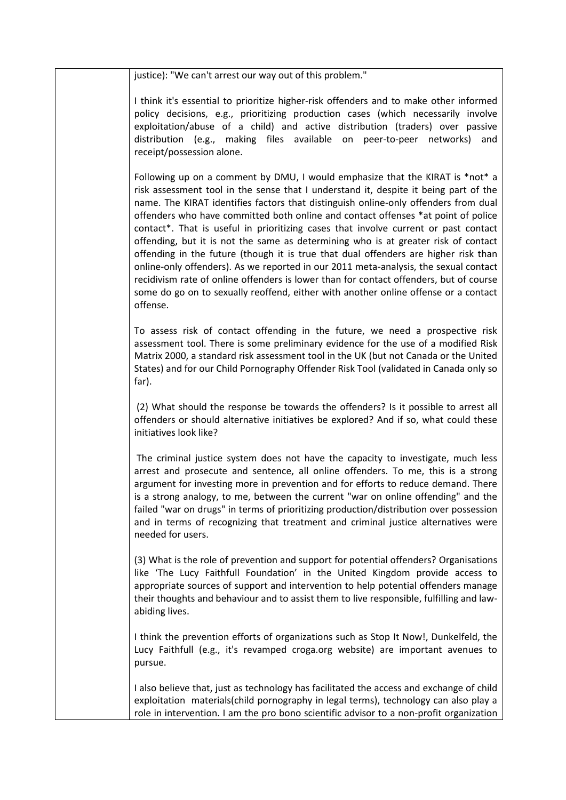justice): "We can't arrest our way out of this problem."

I think it's essential to prioritize higher-risk offenders and to make other informed policy decisions, e.g., prioritizing production cases (which necessarily involve exploitation/abuse of a child) and active distribution (traders) over passive distribution (e.g., making files available on peer-to-peer networks) and receipt/possession alone.

Following up on a comment by DMU, I would emphasize that the KIRAT is \*not\* a risk assessment tool in the sense that I understand it, despite it being part of the name. The KIRAT identifies factors that distinguish online-only offenders from dual offenders who have committed both online and contact offenses \*at point of police contact\*. That is useful in prioritizing cases that involve current or past contact offending, but it is not the same as determining who is at greater risk of contact offending in the future (though it is true that dual offenders are higher risk than online-only offenders). As we reported in our 2011 meta-analysis, the sexual contact recidivism rate of online offenders is lower than for contact offenders, but of course some do go on to sexually reoffend, either with another online offense or a contact offense.

To assess risk of contact offending in the future, we need a prospective risk assessment tool. There is some preliminary evidence for the use of a modified Risk Matrix 2000, a standard risk assessment tool in the UK (but not Canada or the United States) and for our Child Pornography Offender Risk Tool (validated in Canada only so far).

(2) What should the response be towards the offenders? Is it possible to arrest all offenders or should alternative initiatives be explored? And if so, what could these initiatives look like?

The criminal justice system does not have the capacity to investigate, much less arrest and prosecute and sentence, all online offenders. To me, this is a strong argument for investing more in prevention and for efforts to reduce demand. There is a strong analogy, to me, between the current "war on online offending" and the failed "war on drugs" in terms of prioritizing production/distribution over possession and in terms of recognizing that treatment and criminal justice alternatives were needed for users.

(3) What is the role of prevention and support for potential offenders? Organisations like 'The Lucy Faithfull Foundation' in the United Kingdom provide access to appropriate sources of support and intervention to help potential offenders manage their thoughts and behaviour and to assist them to live responsible, fulfilling and lawabiding lives.

I think the prevention efforts of organizations such as Stop It Now!, Dunkelfeld, the Lucy Faithfull (e.g., it's revamped croga.org website) are important avenues to pursue.

I also believe that, just as technology has facilitated the access and exchange of child exploitation materials(child pornography in legal terms), technology can also play a role in intervention. I am the pro bono scientific advisor to a non-profit organization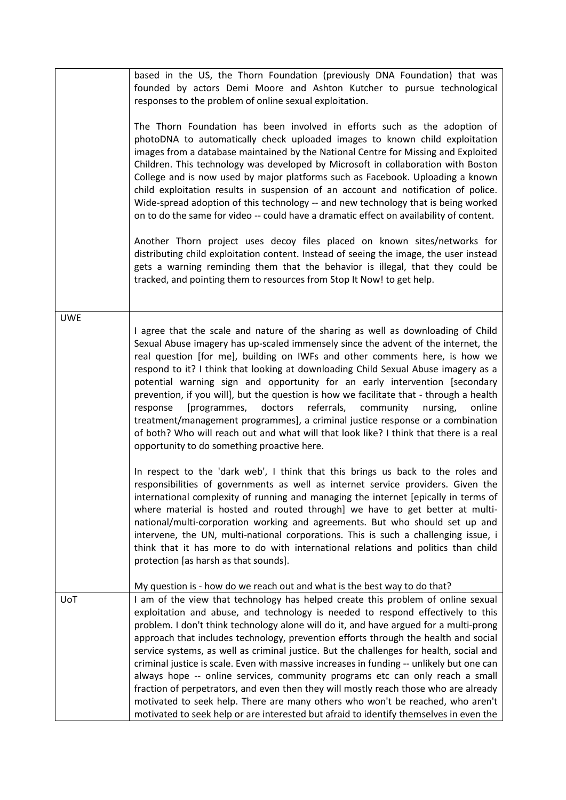|            | based in the US, the Thorn Foundation (previously DNA Foundation) that was<br>founded by actors Demi Moore and Ashton Kutcher to pursue technological<br>responses to the problem of online sexual exploitation.<br>The Thorn Foundation has been involved in efforts such as the adoption of<br>photoDNA to automatically check uploaded images to known child exploitation<br>images from a database maintained by the National Centre for Missing and Exploited<br>Children. This technology was developed by Microsoft in collaboration with Boston<br>College and is now used by major platforms such as Facebook. Uploading a known<br>child exploitation results in suspension of an account and notification of police.<br>Wide-spread adoption of this technology -- and new technology that is being worked<br>on to do the same for video -- could have a dramatic effect on availability of content.<br>Another Thorn project uses decoy files placed on known sites/networks for<br>distributing child exploitation content. Instead of seeing the image, the user instead<br>gets a warning reminding them that the behavior is illegal, that they could be<br>tracked, and pointing them to resources from Stop It Now! to get help. |
|------------|-----------------------------------------------------------------------------------------------------------------------------------------------------------------------------------------------------------------------------------------------------------------------------------------------------------------------------------------------------------------------------------------------------------------------------------------------------------------------------------------------------------------------------------------------------------------------------------------------------------------------------------------------------------------------------------------------------------------------------------------------------------------------------------------------------------------------------------------------------------------------------------------------------------------------------------------------------------------------------------------------------------------------------------------------------------------------------------------------------------------------------------------------------------------------------------------------------------------------------------------------------|
| <b>UWE</b> | I agree that the scale and nature of the sharing as well as downloading of Child<br>Sexual Abuse imagery has up-scaled immensely since the advent of the internet, the<br>real question [for me], building on IWFs and other comments here, is how we<br>respond to it? I think that looking at downloading Child Sexual Abuse imagery as a<br>potential warning sign and opportunity for an early intervention [secondary<br>prevention, if you will], but the question is how we facilitate that - through a health<br>referrals,<br>[programmes,<br>doctors<br>community<br>nursing,<br>online<br>response<br>treatment/management programmes], a criminal justice response or a combination<br>of both? Who will reach out and what will that look like? I think that there is a real<br>opportunity to do something proactive here.                                                                                                                                                                                                                                                                                                                                                                                                            |
|            | In respect to the 'dark web', I think that this brings us back to the roles and<br>responsibilities of governments as well as internet service providers. Given the<br>international complexity of running and managing the internet [epically in terms of<br>where material is hosted and routed through] we have to get better at multi-<br>national/multi-corporation working and agreements. But who should set up and<br>intervene, the UN, multi-national corporations. This is such a challenging issue, i<br>think that it has more to do with international relations and politics than child<br>protection [as harsh as that sounds].<br>My question is - how do we reach out and what is the best way to do that?                                                                                                                                                                                                                                                                                                                                                                                                                                                                                                                        |
| UoT        | I am of the view that technology has helped create this problem of online sexual<br>exploitation and abuse, and technology is needed to respond effectively to this<br>problem. I don't think technology alone will do it, and have argued for a multi-prong                                                                                                                                                                                                                                                                                                                                                                                                                                                                                                                                                                                                                                                                                                                                                                                                                                                                                                                                                                                        |
|            | approach that includes technology, prevention efforts through the health and social<br>service systems, as well as criminal justice. But the challenges for health, social and<br>criminal justice is scale. Even with massive increases in funding -- unlikely but one can<br>always hope -- online services, community programs etc can only reach a small<br>fraction of perpetrators, and even then they will mostly reach those who are already<br>motivated to seek help. There are many others who won't be reached, who aren't<br>motivated to seek help or are interested but afraid to identify themselves in even the                                                                                                                                                                                                                                                                                                                                                                                                                                                                                                                                                                                                                    |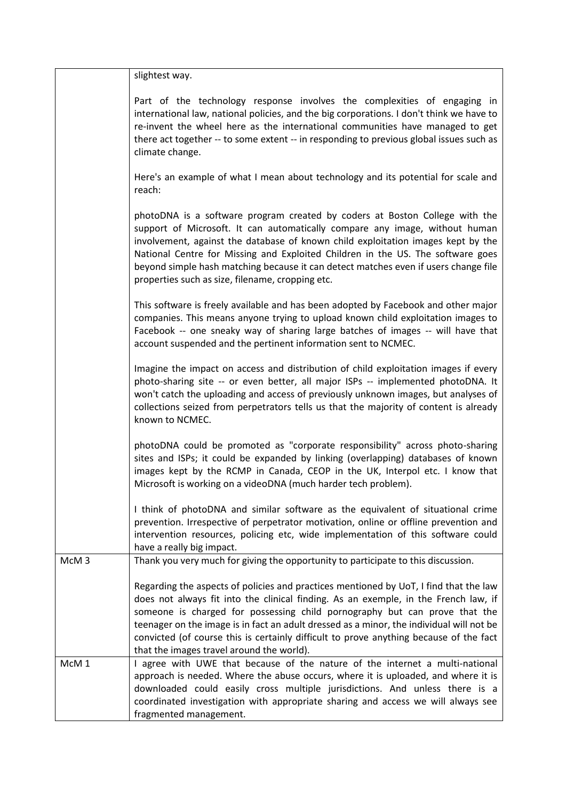|                  | slightest way.                                                                                                                                                                                                                                                                                                                                                                                                                                                                                |
|------------------|-----------------------------------------------------------------------------------------------------------------------------------------------------------------------------------------------------------------------------------------------------------------------------------------------------------------------------------------------------------------------------------------------------------------------------------------------------------------------------------------------|
|                  | Part of the technology response involves the complexities of engaging in<br>international law, national policies, and the big corporations. I don't think we have to<br>re-invent the wheel here as the international communities have managed to get<br>there act together -- to some extent -- in responding to previous global issues such as<br>climate change.                                                                                                                           |
|                  | Here's an example of what I mean about technology and its potential for scale and<br>reach:                                                                                                                                                                                                                                                                                                                                                                                                   |
|                  | photoDNA is a software program created by coders at Boston College with the<br>support of Microsoft. It can automatically compare any image, without human<br>involvement, against the database of known child exploitation images kept by the<br>National Centre for Missing and Exploited Children in the US. The software goes<br>beyond simple hash matching because it can detect matches even if users change file<br>properties such as size, filename, cropping etc.                  |
|                  | This software is freely available and has been adopted by Facebook and other major<br>companies. This means anyone trying to upload known child exploitation images to<br>Facebook -- one sneaky way of sharing large batches of images -- will have that<br>account suspended and the pertinent information sent to NCMEC.                                                                                                                                                                   |
|                  | Imagine the impact on access and distribution of child exploitation images if every<br>photo-sharing site -- or even better, all major ISPs -- implemented photoDNA. It<br>won't catch the uploading and access of previously unknown images, but analyses of<br>collections seized from perpetrators tells us that the majority of content is already<br>known to NCMEC.                                                                                                                     |
|                  | photoDNA could be promoted as "corporate responsibility" across photo-sharing<br>sites and ISPs; it could be expanded by linking (overlapping) databases of known<br>images kept by the RCMP in Canada, CEOP in the UK, Interpol etc. I know that<br>Microsoft is working on a videoDNA (much harder tech problem).                                                                                                                                                                           |
|                  | I think of photoDNA and similar software as the equivalent of situational crime<br>prevention. Irrespective of perpetrator motivation, online or offline prevention and<br>intervention resources, policing etc, wide implementation of this software could<br>have a really big impact.                                                                                                                                                                                                      |
| McM <sub>3</sub> | Thank you very much for giving the opportunity to participate to this discussion.                                                                                                                                                                                                                                                                                                                                                                                                             |
|                  | Regarding the aspects of policies and practices mentioned by UoT, I find that the law<br>does not always fit into the clinical finding. As an exemple, in the French law, if<br>someone is charged for possessing child pornography but can prove that the<br>teenager on the image is in fact an adult dressed as a minor, the individual will not be<br>convicted (of course this is certainly difficult to prove anything because of the fact<br>that the images travel around the world). |
| McM <sub>1</sub> | I agree with UWE that because of the nature of the internet a multi-national<br>approach is needed. Where the abuse occurs, where it is uploaded, and where it is<br>downloaded could easily cross multiple jurisdictions. And unless there is a<br>coordinated investigation with appropriate sharing and access we will always see<br>fragmented management.                                                                                                                                |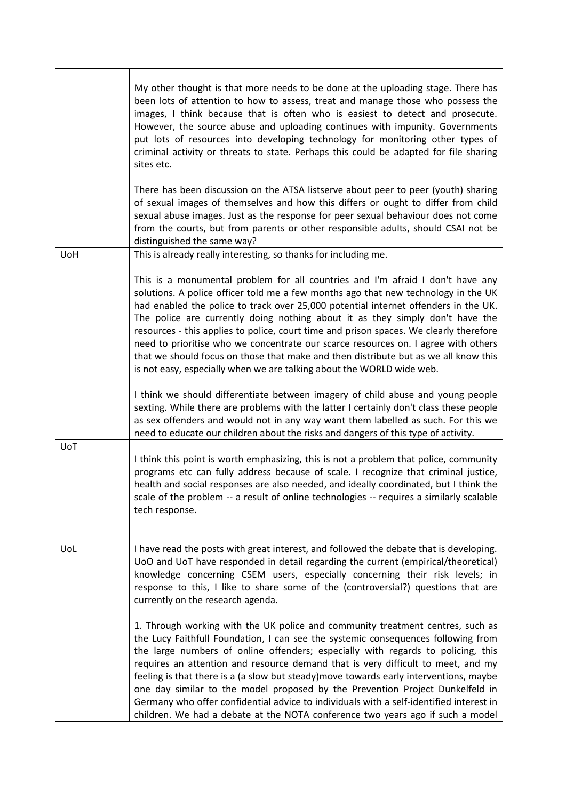|     | My other thought is that more needs to be done at the uploading stage. There has<br>been lots of attention to how to assess, treat and manage those who possess the<br>images, I think because that is often who is easiest to detect and prosecute.<br>However, the source abuse and uploading continues with impunity. Governments<br>put lots of resources into developing technology for monitoring other types of<br>criminal activity or threats to state. Perhaps this could be adapted for file sharing<br>sites etc.<br>There has been discussion on the ATSA listserve about peer to peer (youth) sharing<br>of sexual images of themselves and how this differs or ought to differ from child |
|-----|----------------------------------------------------------------------------------------------------------------------------------------------------------------------------------------------------------------------------------------------------------------------------------------------------------------------------------------------------------------------------------------------------------------------------------------------------------------------------------------------------------------------------------------------------------------------------------------------------------------------------------------------------------------------------------------------------------|
|     | sexual abuse images. Just as the response for peer sexual behaviour does not come<br>from the courts, but from parents or other responsible adults, should CSAI not be<br>distinguished the same way?                                                                                                                                                                                                                                                                                                                                                                                                                                                                                                    |
| UoH | This is already really interesting, so thanks for including me.                                                                                                                                                                                                                                                                                                                                                                                                                                                                                                                                                                                                                                          |
|     | This is a monumental problem for all countries and I'm afraid I don't have any<br>solutions. A police officer told me a few months ago that new technology in the UK<br>had enabled the police to track over 25,000 potential internet offenders in the UK.<br>The police are currently doing nothing about it as they simply don't have the<br>resources - this applies to police, court time and prison spaces. We clearly therefore<br>need to prioritise who we concentrate our scarce resources on. I agree with others<br>that we should focus on those that make and then distribute but as we all know this<br>is not easy, especially when we are talking about the WORLD wide web.             |
|     | I think we should differentiate between imagery of child abuse and young people<br>sexting. While there are problems with the latter I certainly don't class these people<br>as sex offenders and would not in any way want them labelled as such. For this we<br>need to educate our children about the risks and dangers of this type of activity.                                                                                                                                                                                                                                                                                                                                                     |
| UoT | I think this point is worth emphasizing, this is not a problem that police, community<br>programs etc can fully address because of scale. I recognize that criminal justice,<br>health and social responses are also needed, and ideally coordinated, but I think the<br>scale of the problem -- a result of online technologies -- requires a similarly scalable<br>tech response.                                                                                                                                                                                                                                                                                                                      |
| UoL | I have read the posts with great interest, and followed the debate that is developing.<br>UoO and UoT have responded in detail regarding the current (empirical/theoretical)<br>knowledge concerning CSEM users, especially concerning their risk levels; in<br>response to this, I like to share some of the (controversial?) questions that are<br>currently on the research agenda.                                                                                                                                                                                                                                                                                                                   |
|     | 1. Through working with the UK police and community treatment centres, such as<br>the Lucy Faithfull Foundation, I can see the systemic consequences following from<br>the large numbers of online offenders; especially with regards to policing, this<br>requires an attention and resource demand that is very difficult to meet, and my<br>feeling is that there is a (a slow but steady) move towards early interventions, maybe<br>one day similar to the model proposed by the Prevention Project Dunkelfeld in<br>Germany who offer confidential advice to individuals with a self-identified interest in<br>children. We had a debate at the NOTA conference two years ago if such a model      |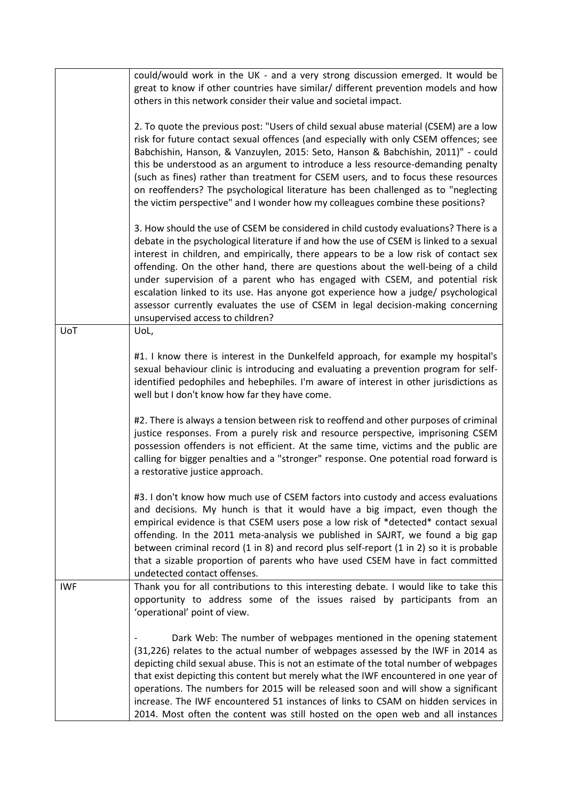|            | could/would work in the UK - and a very strong discussion emerged. It would be<br>great to know if other countries have similar/ different prevention models and how<br>others in this network consider their value and societal impact.                                                                                                                                                                                                                                                                                                                                                                                                                  |
|------------|-----------------------------------------------------------------------------------------------------------------------------------------------------------------------------------------------------------------------------------------------------------------------------------------------------------------------------------------------------------------------------------------------------------------------------------------------------------------------------------------------------------------------------------------------------------------------------------------------------------------------------------------------------------|
|            | 2. To quote the previous post: "Users of child sexual abuse material (CSEM) are a low<br>risk for future contact sexual offences (and especially with only CSEM offences; see<br>Babchishin, Hanson, & Vanzuylen, 2015: Seto, Hanson & Babchishin, 2011)" - could<br>this be understood as an argument to introduce a less resource-demanding penalty<br>(such as fines) rather than treatment for CSEM users, and to focus these resources<br>on reoffenders? The psychological literature has been challenged as to "neglecting<br>the victim perspective" and I wonder how my colleagues combine these positions?                                      |
|            | 3. How should the use of CSEM be considered in child custody evaluations? There is a<br>debate in the psychological literature if and how the use of CSEM is linked to a sexual<br>interest in children, and empirically, there appears to be a low risk of contact sex<br>offending. On the other hand, there are questions about the well-being of a child<br>under supervision of a parent who has engaged with CSEM, and potential risk<br>escalation linked to its use. Has anyone got experience how a judge/ psychological<br>assessor currently evaluates the use of CSEM in legal decision-making concerning<br>unsupervised access to children? |
| UoT        | UoL,                                                                                                                                                                                                                                                                                                                                                                                                                                                                                                                                                                                                                                                      |
|            | #1. I know there is interest in the Dunkelfeld approach, for example my hospital's<br>sexual behaviour clinic is introducing and evaluating a prevention program for self-<br>identified pedophiles and hebephiles. I'm aware of interest in other jurisdictions as<br>well but I don't know how far they have come.                                                                                                                                                                                                                                                                                                                                      |
|            | #2. There is always a tension between risk to reoffend and other purposes of criminal<br>justice responses. From a purely risk and resource perspective, imprisoning CSEM<br>possession offenders is not efficient. At the same time, victims and the public are<br>calling for bigger penalties and a "stronger" response. One potential road forward is<br>a restorative justice approach.                                                                                                                                                                                                                                                              |
|            | #3. I don't know how much use of CSEM factors into custody and access evaluations<br>and decisions. My hunch is that it would have a big impact, even though the<br>empirical evidence is that CSEM users pose a low risk of *detected* contact sexual<br>offending. In the 2011 meta-analysis we published in SAJRT, we found a big gap<br>between criminal record (1 in 8) and record plus self-report (1 in 2) so it is probable<br>that a sizable proportion of parents who have used CSEM have in fact committed<br>undetected contact offenses.                                                                                                     |
| <b>IWF</b> | Thank you for all contributions to this interesting debate. I would like to take this<br>opportunity to address some of the issues raised by participants from an<br>'operational' point of view.                                                                                                                                                                                                                                                                                                                                                                                                                                                         |
|            | Dark Web: The number of webpages mentioned in the opening statement<br>(31,226) relates to the actual number of webpages assessed by the IWF in 2014 as<br>depicting child sexual abuse. This is not an estimate of the total number of webpages<br>that exist depicting this content but merely what the IWF encountered in one year of<br>operations. The numbers for 2015 will be released soon and will show a significant<br>increase. The IWF encountered 51 instances of links to CSAM on hidden services in<br>2014. Most often the content was still hosted on the open web and all instances                                                    |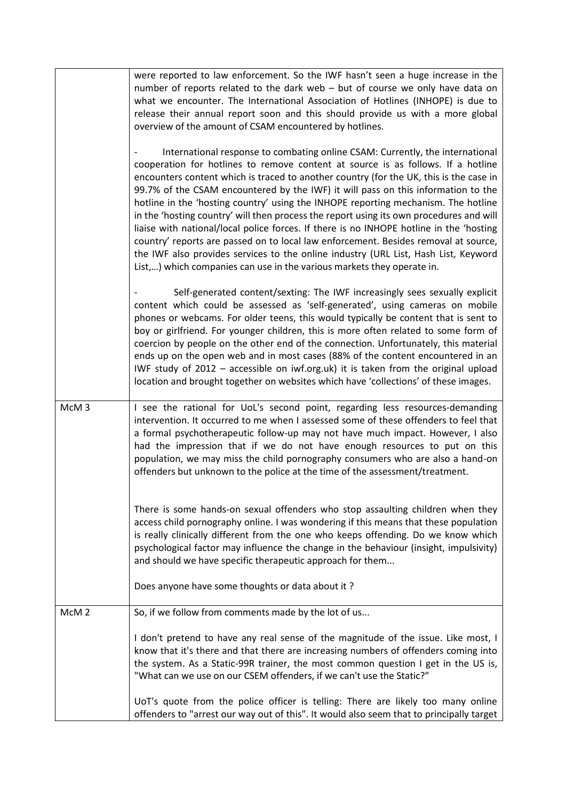|                  | were reported to law enforcement. So the IWF hasn't seen a huge increase in the<br>number of reports related to the dark web - but of course we only have data on<br>what we encounter. The International Association of Hotlines (INHOPE) is due to<br>release their annual report soon and this should provide us with a more global<br>overview of the amount of CSAM encountered by hotlines.                                                                                                                                                                                                                                                                                                                                                                                                                                                                                    |
|------------------|--------------------------------------------------------------------------------------------------------------------------------------------------------------------------------------------------------------------------------------------------------------------------------------------------------------------------------------------------------------------------------------------------------------------------------------------------------------------------------------------------------------------------------------------------------------------------------------------------------------------------------------------------------------------------------------------------------------------------------------------------------------------------------------------------------------------------------------------------------------------------------------|
|                  | International response to combating online CSAM: Currently, the international<br>cooperation for hotlines to remove content at source is as follows. If a hotline<br>encounters content which is traced to another country (for the UK, this is the case in<br>99.7% of the CSAM encountered by the IWF) it will pass on this information to the<br>hotline in the 'hosting country' using the INHOPE reporting mechanism. The hotline<br>in the 'hosting country' will then process the report using its own procedures and will<br>liaise with national/local police forces. If there is no INHOPE hotline in the 'hosting<br>country' reports are passed on to local law enforcement. Besides removal at source,<br>the IWF also provides services to the online industry (URL List, Hash List, Keyword<br>List,) which companies can use in the various markets they operate in. |
|                  | Self-generated content/sexting: The IWF increasingly sees sexually explicit<br>content which could be assessed as 'self-generated', using cameras on mobile<br>phones or webcams. For older teens, this would typically be content that is sent to<br>boy or girlfriend. For younger children, this is more often related to some form of<br>coercion by people on the other end of the connection. Unfortunately, this material<br>ends up on the open web and in most cases (88% of the content encountered in an<br>IWF study of 2012 - accessible on iwf.org.uk) it is taken from the original upload<br>location and brought together on websites which have 'collections' of these images.                                                                                                                                                                                     |
| McM <sub>3</sub> | I see the rational for UoL's second point, regarding less resources-demanding<br>intervention. It occurred to me when I assessed some of these offenders to feel that<br>a formal psychotherapeutic follow-up may not have much impact. However, I also<br>had the impression that if we do not have enough resources to put on this<br>population, we may miss the child pornography consumers who are also a hand-on<br>offenders but unknown to the police at the time of the assessment/treatment.                                                                                                                                                                                                                                                                                                                                                                               |
|                  | There is some hands-on sexual offenders who stop assaulting children when they<br>access child pornography online. I was wondering if this means that these population<br>is really clinically different from the one who keeps offending. Do we know which<br>psychological factor may influence the change in the behaviour (insight, impulsivity)<br>and should we have specific therapeutic approach for them                                                                                                                                                                                                                                                                                                                                                                                                                                                                    |
|                  | Does anyone have some thoughts or data about it?                                                                                                                                                                                                                                                                                                                                                                                                                                                                                                                                                                                                                                                                                                                                                                                                                                     |
| McM <sub>2</sub> | So, if we follow from comments made by the lot of us                                                                                                                                                                                                                                                                                                                                                                                                                                                                                                                                                                                                                                                                                                                                                                                                                                 |
|                  | I don't pretend to have any real sense of the magnitude of the issue. Like most, I<br>know that it's there and that there are increasing numbers of offenders coming into<br>the system. As a Static-99R trainer, the most common question I get in the US is,<br>"What can we use on our CSEM offenders, if we can't use the Static?"                                                                                                                                                                                                                                                                                                                                                                                                                                                                                                                                               |
|                  | UoT's quote from the police officer is telling: There are likely too many online<br>offenders to "arrest our way out of this". It would also seem that to principally target                                                                                                                                                                                                                                                                                                                                                                                                                                                                                                                                                                                                                                                                                                         |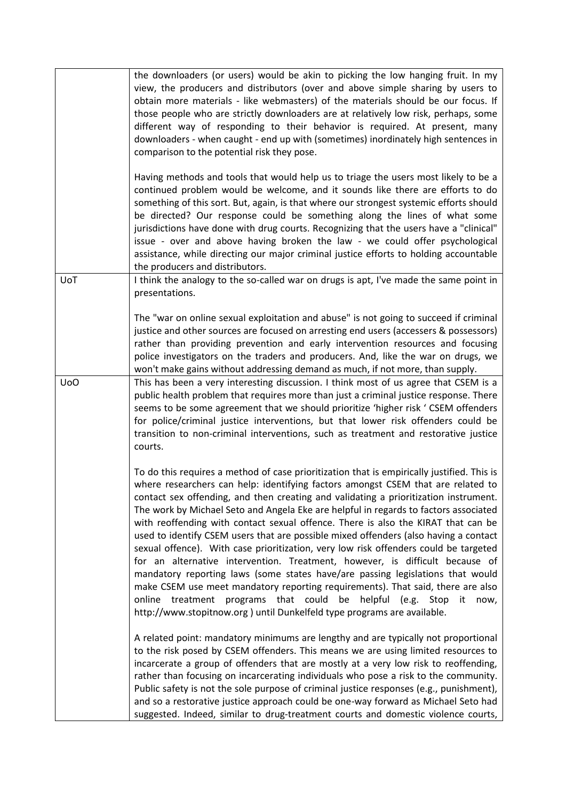|                  | the downloaders (or users) would be akin to picking the low hanging fruit. In my<br>view, the producers and distributors (over and above simple sharing by users to<br>obtain more materials - like webmasters) of the materials should be our focus. If<br>those people who are strictly downloaders are at relatively low risk, perhaps, some<br>different way of responding to their behavior is required. At present, many<br>downloaders - when caught - end up with (sometimes) inordinately high sentences in<br>comparison to the potential risk they pose.                                                                                                                                                                                                                                                                                                                                                                                                                                                                                       |
|------------------|-----------------------------------------------------------------------------------------------------------------------------------------------------------------------------------------------------------------------------------------------------------------------------------------------------------------------------------------------------------------------------------------------------------------------------------------------------------------------------------------------------------------------------------------------------------------------------------------------------------------------------------------------------------------------------------------------------------------------------------------------------------------------------------------------------------------------------------------------------------------------------------------------------------------------------------------------------------------------------------------------------------------------------------------------------------|
|                  | Having methods and tools that would help us to triage the users most likely to be a<br>continued problem would be welcome, and it sounds like there are efforts to do<br>something of this sort. But, again, is that where our strongest systemic efforts should<br>be directed? Our response could be something along the lines of what some<br>jurisdictions have done with drug courts. Recognizing that the users have a "clinical"<br>issue - over and above having broken the law - we could offer psychological<br>assistance, while directing our major criminal justice efforts to holding accountable<br>the producers and distributors.                                                                                                                                                                                                                                                                                                                                                                                                        |
| UoT              | I think the analogy to the so-called war on drugs is apt, I've made the same point in<br>presentations.                                                                                                                                                                                                                                                                                                                                                                                                                                                                                                                                                                                                                                                                                                                                                                                                                                                                                                                                                   |
|                  | The "war on online sexual exploitation and abuse" is not going to succeed if criminal<br>justice and other sources are focused on arresting end users (accessers & possessors)<br>rather than providing prevention and early intervention resources and focusing<br>police investigators on the traders and producers. And, like the war on drugs, we<br>won't make gains without addressing demand as much, if not more, than supply.                                                                                                                                                                                                                                                                                                                                                                                                                                                                                                                                                                                                                    |
| U <sub>0</sub> O | This has been a very interesting discussion. I think most of us agree that CSEM is a<br>public health problem that requires more than just a criminal justice response. There<br>seems to be some agreement that we should prioritize 'higher risk ' CSEM offenders<br>for police/criminal justice interventions, but that lower risk offenders could be<br>transition to non-criminal interventions, such as treatment and restorative justice<br>courts.                                                                                                                                                                                                                                                                                                                                                                                                                                                                                                                                                                                                |
|                  | To do this requires a method of case prioritization that is empirically justified. This is<br>where researchers can help: identifying factors amongst CSEM that are related to<br>contact sex offending, and then creating and validating a prioritization instrument.<br>The work by Michael Seto and Angela Eke are helpful in regards to factors associated<br>with reoffending with contact sexual offence. There is also the KIRAT that can be<br>used to identify CSEM users that are possible mixed offenders (also having a contact<br>sexual offence). With case prioritization, very low risk offenders could be targeted<br>for an alternative intervention. Treatment, however, is difficult because of<br>mandatory reporting laws (some states have/are passing legislations that would<br>make CSEM use meet mandatory reporting requirements). That said, there are also<br>online treatment<br>programs that could<br>be helpful (e.g.<br>Stop<br>now,<br>it<br>http://www.stopitnow.org ) until Dunkelfeld type programs are available. |
|                  | A related point: mandatory minimums are lengthy and are typically not proportional<br>to the risk posed by CSEM offenders. This means we are using limited resources to<br>incarcerate a group of offenders that are mostly at a very low risk to reoffending,<br>rather than focusing on incarcerating individuals who pose a risk to the community.<br>Public safety is not the sole purpose of criminal justice responses (e.g., punishment),<br>and so a restorative justice approach could be one-way forward as Michael Seto had<br>suggested. Indeed, similar to drug-treatment courts and domestic violence courts,                                                                                                                                                                                                                                                                                                                                                                                                                               |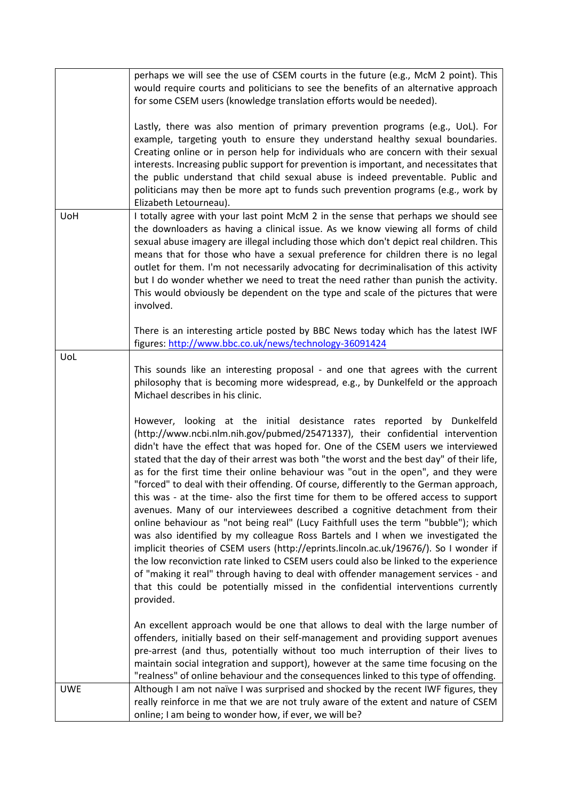|            | perhaps we will see the use of CSEM courts in the future (e.g., McM 2 point). This<br>would require courts and politicians to see the benefits of an alternative approach<br>for some CSEM users (knowledge translation efforts would be needed).<br>Lastly, there was also mention of primary prevention programs (e.g., UoL). For<br>example, targeting youth to ensure they understand healthy sexual boundaries.<br>Creating online or in person help for individuals who are concern with their sexual<br>interests. Increasing public support for prevention is important, and necessitates that<br>the public understand that child sexual abuse is indeed preventable. Public and                                                                                                                                                                                                                                                                                                                                                                                                                                                                                                                                                           |
|------------|-----------------------------------------------------------------------------------------------------------------------------------------------------------------------------------------------------------------------------------------------------------------------------------------------------------------------------------------------------------------------------------------------------------------------------------------------------------------------------------------------------------------------------------------------------------------------------------------------------------------------------------------------------------------------------------------------------------------------------------------------------------------------------------------------------------------------------------------------------------------------------------------------------------------------------------------------------------------------------------------------------------------------------------------------------------------------------------------------------------------------------------------------------------------------------------------------------------------------------------------------------|
|            | politicians may then be more apt to funds such prevention programs (e.g., work by<br>Elizabeth Letourneau).                                                                                                                                                                                                                                                                                                                                                                                                                                                                                                                                                                                                                                                                                                                                                                                                                                                                                                                                                                                                                                                                                                                                         |
| UoH        | I totally agree with your last point McM 2 in the sense that perhaps we should see<br>the downloaders as having a clinical issue. As we know viewing all forms of child<br>sexual abuse imagery are illegal including those which don't depict real children. This<br>means that for those who have a sexual preference for children there is no legal<br>outlet for them. I'm not necessarily advocating for decriminalisation of this activity<br>but I do wonder whether we need to treat the need rather than punish the activity.<br>This would obviously be dependent on the type and scale of the pictures that were<br>involved.                                                                                                                                                                                                                                                                                                                                                                                                                                                                                                                                                                                                            |
|            | There is an interesting article posted by BBC News today which has the latest IWF<br>figures: http://www.bbc.co.uk/news/technology-36091424                                                                                                                                                                                                                                                                                                                                                                                                                                                                                                                                                                                                                                                                                                                                                                                                                                                                                                                                                                                                                                                                                                         |
| UoL        | This sounds like an interesting proposal - and one that agrees with the current<br>philosophy that is becoming more widespread, e.g., by Dunkelfeld or the approach<br>Michael describes in his clinic.                                                                                                                                                                                                                                                                                                                                                                                                                                                                                                                                                                                                                                                                                                                                                                                                                                                                                                                                                                                                                                             |
|            | However, looking at the initial desistance rates reported by Dunkelfeld<br>(http://www.ncbi.nlm.nih.gov/pubmed/25471337), their confidential intervention<br>didn't have the effect that was hoped for. One of the CSEM users we interviewed<br>stated that the day of their arrest was both "the worst and the best day" of their life,<br>as for the first time their online behaviour was "out in the open", and they were<br>"forced" to deal with their offending. Of course, differently to the German approach,<br>this was - at the time- also the first time for them to be offered access to support<br>avenues. Many of our interviewees described a cognitive detachment from their<br>online behaviour as "not being real" (Lucy Faithfull uses the term "bubble"); which<br>was also identified by my colleague Ross Bartels and I when we investigated the<br>implicit theories of CSEM users (http://eprints.lincoln.ac.uk/19676/). So I wonder if<br>the low reconviction rate linked to CSEM users could also be linked to the experience<br>of "making it real" through having to deal with offender management services - and<br>that this could be potentially missed in the confidential interventions currently<br>provided. |
|            | An excellent approach would be one that allows to deal with the large number of<br>offenders, initially based on their self-management and providing support avenues<br>pre-arrest (and thus, potentially without too much interruption of their lives to<br>maintain social integration and support), however at the same time focusing on the<br>"realness" of online behaviour and the consequences linked to this type of offending.                                                                                                                                                                                                                                                                                                                                                                                                                                                                                                                                                                                                                                                                                                                                                                                                            |
| <b>UWE</b> | Although I am not naïve I was surprised and shocked by the recent IWF figures, they<br>really reinforce in me that we are not truly aware of the extent and nature of CSEM<br>online; I am being to wonder how, if ever, we will be?                                                                                                                                                                                                                                                                                                                                                                                                                                                                                                                                                                                                                                                                                                                                                                                                                                                                                                                                                                                                                |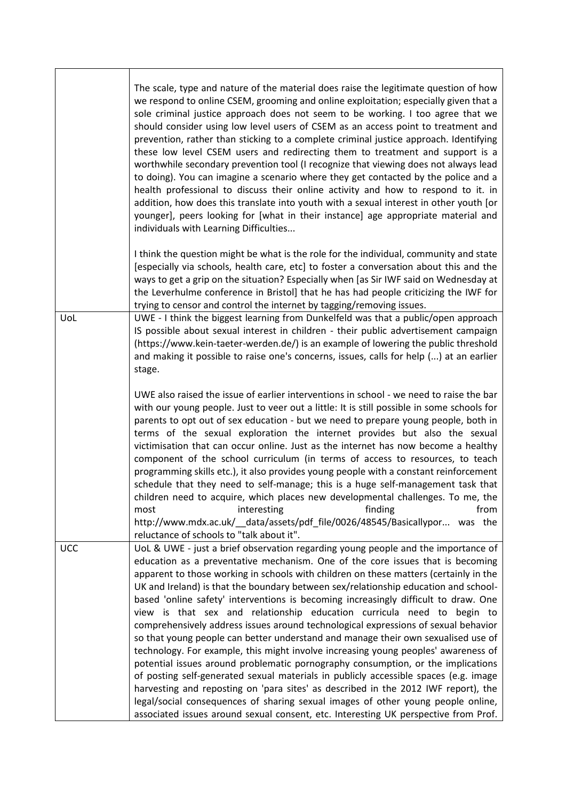|            | The scale, type and nature of the material does raise the legitimate question of how<br>we respond to online CSEM, grooming and online exploitation; especially given that a<br>sole criminal justice approach does not seem to be working. I too agree that we<br>should consider using low level users of CSEM as an access point to treatment and<br>prevention, rather than sticking to a complete criminal justice approach. Identifying<br>these low level CSEM users and redirecting them to treatment and support is a<br>worthwhile secondary prevention tool (I recognize that viewing does not always lead<br>to doing). You can imagine a scenario where they get contacted by the police and a<br>health professional to discuss their online activity and how to respond to it. in<br>addition, how does this translate into youth with a sexual interest in other youth [or<br>younger], peers looking for [what in their instance] age appropriate material and<br>individuals with Learning Difficulties                                                                                                                                                                                                          |
|------------|------------------------------------------------------------------------------------------------------------------------------------------------------------------------------------------------------------------------------------------------------------------------------------------------------------------------------------------------------------------------------------------------------------------------------------------------------------------------------------------------------------------------------------------------------------------------------------------------------------------------------------------------------------------------------------------------------------------------------------------------------------------------------------------------------------------------------------------------------------------------------------------------------------------------------------------------------------------------------------------------------------------------------------------------------------------------------------------------------------------------------------------------------------------------------------------------------------------------------------|
|            | I think the question might be what is the role for the individual, community and state<br>[especially via schools, health care, etc] to foster a conversation about this and the<br>ways to get a grip on the situation? Especially when [as Sir IWF said on Wednesday at<br>the Leverhulme conference in Bristol] that he has had people criticizing the IWF for<br>trying to censor and control the internet by tagging/removing issues.                                                                                                                                                                                                                                                                                                                                                                                                                                                                                                                                                                                                                                                                                                                                                                                         |
| UoL        | UWE - I think the biggest learning from Dunkelfeld was that a public/open approach<br>IS possible about sexual interest in children - their public advertisement campaign<br>(https://www.kein-taeter-werden.de/) is an example of lowering the public threshold<br>and making it possible to raise one's concerns, issues, calls for help () at an earlier<br>stage.                                                                                                                                                                                                                                                                                                                                                                                                                                                                                                                                                                                                                                                                                                                                                                                                                                                              |
|            | UWE also raised the issue of earlier interventions in school - we need to raise the bar<br>with our young people. Just to veer out a little: It is still possible in some schools for<br>parents to opt out of sex education - but we need to prepare young people, both in<br>terms of the sexual exploration the internet provides but also the sexual<br>victimisation that can occur online. Just as the internet has now become a healthy<br>component of the school curriculum (in terms of access to resources, to teach<br>programming skills etc.), it also provides young people with a constant reinforcement<br>schedule that they need to self-manage; this is a huge self-management task that<br>children need to acquire, which places new developmental challenges. To me, the<br>interesting<br>finding<br>from<br>most<br>http://www.mdx.ac.uk/ data/assets/pdf file/0026/48545/Basicallypor was the<br>reluctance of schools to "talk about it".                                                                                                                                                                                                                                                               |
| <b>UCC</b> | UoL & UWE - just a brief observation regarding young people and the importance of<br>education as a preventative mechanism. One of the core issues that is becoming<br>apparent to those working in schools with children on these matters (certainly in the<br>UK and Ireland) is that the boundary between sex/relationship education and school-<br>based 'online safety' interventions is becoming increasingly difficult to draw. One<br>view is that sex and relationship education curricula need to begin to<br>comprehensively address issues around technological expressions of sexual behavior<br>so that young people can better understand and manage their own sexualised use of<br>technology. For example, this might involve increasing young peoples' awareness of<br>potential issues around problematic pornography consumption, or the implications<br>of posting self-generated sexual materials in publicly accessible spaces (e.g. image<br>harvesting and reposting on 'para sites' as described in the 2012 IWF report), the<br>legal/social consequences of sharing sexual images of other young people online,<br>associated issues around sexual consent, etc. Interesting UK perspective from Prof. |